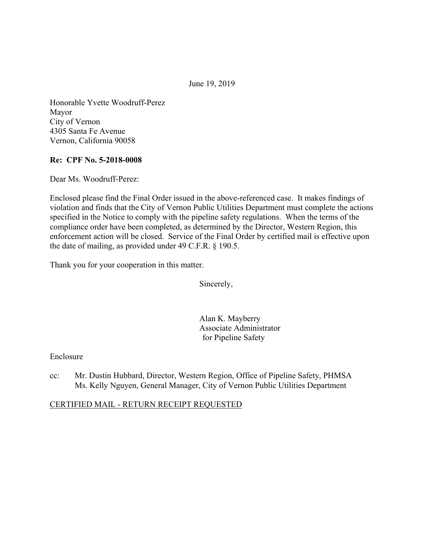June 19, 2019

Honorable Yvette Woodruff-Perez Mayor City of Vernon 4305 Santa Fe Avenue Vernon, California 90058

### **Re: CPF No. 5-2018-0008**

Dear Ms. Woodruff-Perez:

Enclosed please find the Final Order issued in the above-referenced case. It makes findings of violation and finds that the City of Vernon Public Utilities Department must complete the actions specified in the Notice to comply with the pipeline safety regulations. When the terms of the compliance order have been completed, as determined by the Director, Western Region, this enforcement action will be closed. Service of the Final Order by certified mail is effective upon the date of mailing, as provided under 49 C.F.R. § 190.5.

Thank you for your cooperation in this matter.

Sincerely,

Alan K. Mayberry Associate Administrator for Pipeline Safety

### Enclosure

cc: Mr. Dustin Hubbard, Director, Western Region, Office of Pipeline Safety, PHMSA Ms. Kelly Nguyen, General Manager, City of Vernon Public Utilities Department

### CERTIFIED MAIL - RETURN RECEIPT REQUESTED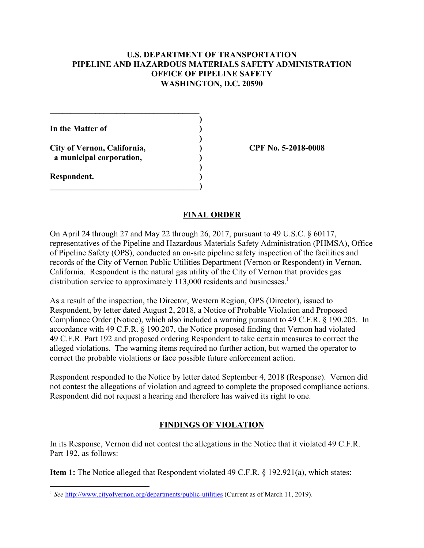### **U.S. DEPARTMENT OF TRANSPORTATION PIPELINE AND HAZARDOUS MATERIALS SAFETY ADMINISTRATION OFFICE OF PIPELINE SAFETY WASHINGTON, D.C. 20590**

**\_\_\_\_\_\_\_\_\_\_\_\_\_\_\_\_\_\_\_\_\_\_\_\_\_\_\_\_\_\_\_\_\_\_\_\_ ) In the Matter of ) ) City of Vernon, California, ) CPF No. 5-2018-0008 a municipal corporation, ) ) Respondent. )**   $\overline{\phantom{a}}$ 

#### **FINAL ORDER**

On April 24 through 27 and May 22 through 26, 2017, pursuant to 49 U.S.C. § 60117, representatives of the Pipeline and Hazardous Materials Safety Administration (PHMSA), Office of Pipeline Safety (OPS), conducted an on-site pipeline safety inspection of the facilities and records of the City of Vernon Public Utilities Department (Vernon or Respondent) in Vernon, California. Respondent is the natural gas utility of the City of Vernon that provides gas distribution service to approximately 113,000 residents and businesses.<sup>1</sup>

As a result of the inspection, the Director, Western Region, OPS (Director), issued to Respondent, by letter dated August 2, 2018, a Notice of Probable Violation and Proposed Compliance Order (Notice), which also included a warning pursuant to 49 C.F.R. § 190.205. In accordance with 49 C.F.R. § 190.207, the Notice proposed finding that Vernon had violated 49 C.F.R. Part 192 and proposed ordering Respondent to take certain measures to correct the alleged violations. The warning items required no further action, but warned the operator to correct the probable violations or face possible future enforcement action.

Respondent responded to the Notice by letter dated September 4, 2018 (Response). Vernon did not contest the allegations of violation and agreed to complete the proposed compliance actions. Respondent did not request a hearing and therefore has waived its right to one.

### **FINDINGS OF VIOLATION**

In its Response, Vernon did not contest the allegations in the Notice that it violated 49 C.F.R. Part 192, as follows:

**Item 1:** The Notice alleged that Respondent violated 49 C.F.R. § 192.921(a), which states:

 $\overline{a}$ 

<sup>&</sup>lt;sup>1</sup> See <http://www.cityofvernon.org/departments/public-utilities>(Current as of March 11, 2019).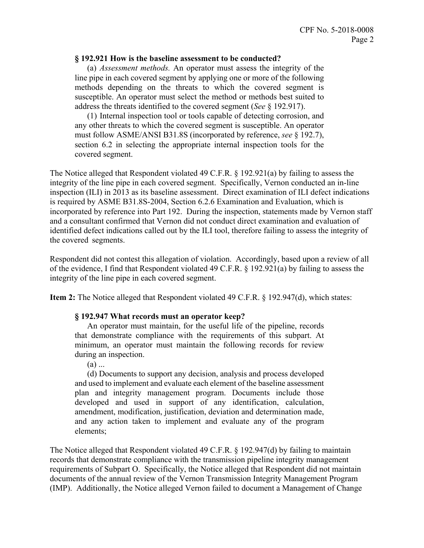#### **§ 192.921 How is the baseline assessment to be conducted?**

 (a) *Assessment methods.* An operator must assess the integrity of the line pipe in each covered segment by applying one or more of the following methods depending on the threats to which the covered segment is susceptible. An operator must select the method or methods best suited to address the threats identified to the covered segment (*See* § 192.917).

 must follow ASME/ANSI B31.8S (incorporated by reference, *see* § 192.7), (1) Internal inspection tool or tools capable of detecting corrosion, and any other threats to which the covered segment is susceptible. An operator section 6.2 in selecting the appropriate internal inspection tools for the covered segment.

The Notice alleged that Respondent violated 49 C.F.R. § 192.921(a) by failing to assess the integrity of the line pipe in each covered segment. Specifically, Vernon conducted an in-line inspection (ILI) in 2013 as its baseline assessment. Direct examination of ILI defect indications is required by ASME B31.8S-2004, Section 6.2.6 Examination and Evaluation, which is incorporated by reference into Part 192. During the inspection, statements made by Vernon staff and a consultant confirmed that Vernon did not conduct direct examination and evaluation of identified defect indications called out by the ILI tool, therefore failing to assess the integrity of the covered segments.

Respondent did not contest this allegation of violation. Accordingly, based upon a review of all of the evidence, I find that Respondent violated 49 C.F.R. § 192.921(a) by failing to assess the integrity of the line pipe in each covered segment.

**Item 2:** The Notice alleged that Respondent violated 49 C.F.R. § 192.947(d), which states:

#### **§ 192.947 What records must an operator keep?**

An operator must maintain, for the useful life of the pipeline, records that demonstrate compliance with the requirements of this subpart. At minimum, an operator must maintain the following records for review during an inspection.

(a) ...

 and used to implement and evaluate each element of the baseline assessment (d) Documents to support any decision, analysis and process developed plan and integrity management program. Documents include those developed and used in support of any identification, calculation, amendment, modification, justification, deviation and determination made, and any action taken to implement and evaluate any of the program elements;

The Notice alleged that Respondent violated 49 C.F.R. § 192.947(d) by failing to maintain records that demonstrate compliance with the transmission pipeline integrity management requirements of Subpart O. Specifically, the Notice alleged that Respondent did not maintain documents of the annual review of the Vernon Transmission Integrity Management Program (IMP). Additionally, the Notice alleged Vernon failed to document a Management of Change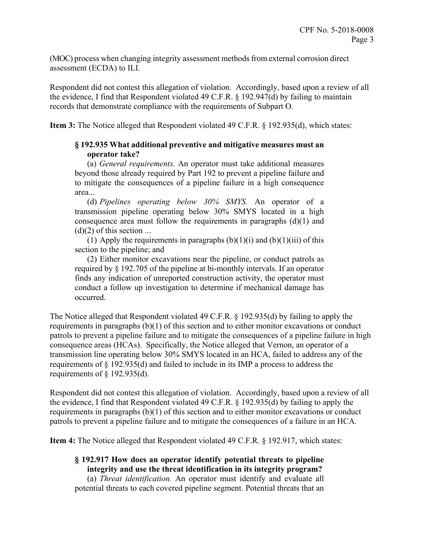(MOC) process when changing integrity assessment methods from external corrosion direct assessment (ECDA) to ILI.

Respondent did not contest this allegation of violation. Accordingly, based upon a review of all the evidence, I find that Respondent violated 49 C.F.R. § 192.947(d) by failing to maintain records that demonstrate compliance with the requirements of Subpart O.

**Item 3:** The Notice alleged that Respondent violated 49 C.F.R. § 192.935(d), which states:

# **§ 192.935 What additional preventive and mitigative measures must an operator take?**

(a) *General requirements.* An operator must take additional measures beyond those already required by Part 192 to prevent a pipeline failure and to mitigate the consequences of a pipeline failure in a high consequence area...

(d) *Pipelines operating below 30% SMYS.* An operator of a transmission pipeline operating below 30% SMYS located in a high consequence area must follow the requirements in paragraphs  $(d)(1)$  and  $(d)(2)$  of this section ...

(1) Apply the requirements in paragraphs  $(b)(1)(i)$  and  $(b)(1)(iii)$  of this section to the pipeline; and

(2) Either monitor excavations near the pipeline, or conduct patrols as required by § 192.705 of the pipeline at bi-monthly intervals. If an operator finds any indication of unreported construction activity, the operator must conduct a follow up investigation to determine if mechanical damage has occurred.

The Notice alleged that Respondent violated 49 C.F.R. § 192.935(d) by failing to apply the requirements in paragraphs (b)(1) of this section and to either monitor excavations or conduct patrols to prevent a pipeline failure and to mitigate the consequences of a pipeline failure in high consequence areas (HCAs). Specifically, the Notice alleged that Vernon, an operator of a transmission line operating below 30% SMYS located in an HCA, failed to address any of the requirements of § 192.935(d) and failed to include in its IMP a process to address the requirements of  $\S$  192.935(d).

Respondent did not contest this allegation of violation. Accordingly, based upon a review of all the evidence, I find that Respondent violated 49 C.F.R. § 192.935(d) by failing to apply the requirements in paragraphs (b)(1) of this section and to either monitor excavations or conduct patrols to prevent a pipeline failure and to mitigate the consequences of a failure in an HCA.

**Item 4:** The Notice alleged that Respondent violated 49 C.F.R. § 192.917, which states:

# **§ 192.917 How does an operator identify potential threats to pipeline integrity and use the threat identification in its integrity program?**

(a) *Threat identification.* An operator must identify and evaluate all potential threats to each covered pipeline segment. Potential threats that an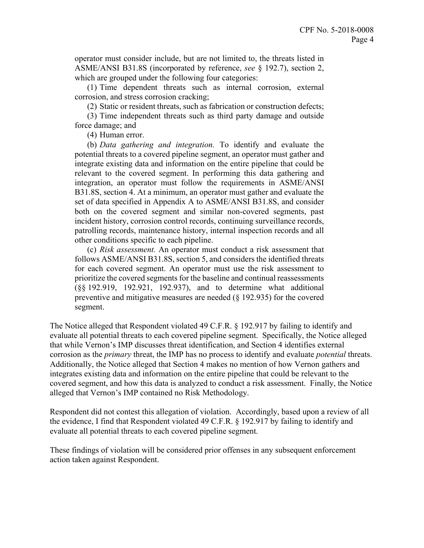ASME/ANSI B31.8S (incorporated by reference, *see* § 192.7), section 2, operator must consider include, but are not limited to, the threats listed in which are grouped under the following four categories:

(1) Time dependent threats such as internal corrosion, external corrosion, and stress corrosion cracking;

(2) Static or resident threats, such as fabrication or construction defects;

(3) Time independent threats such as third party damage and outside force damage; and

(4) Human error.

 integrate existing data and information on the entire pipeline that could be (b) *Data gathering and integration.* To identify and evaluate the potential threats to a covered pipeline segment, an operator must gather and relevant to the covered segment. In performing this data gathering and integration, an operator must follow the requirements in ASME/ANSI B31.8S, section 4. At a minimum, an operator must gather and evaluate the set of data specified in Appendix A to ASME/ANSI B31.8S, and consider both on the covered segment and similar non-covered segments, past incident history, corrosion control records, continuing surveillance records, patrolling records, maintenance history, internal inspection records and all other conditions specific to each pipeline.

 prioritize the covered segments for the baseline and continual reassessments (c) *Risk assessment.* An operator must conduct a risk assessment that follows ASME/ANSI B31.8S, section 5, and considers the identified threats for each covered segment. An operator must use the risk assessment to (§§ 192.919, 192.921, 192.937), and to determine what additional preventive and mitigative measures are needed (§ 192.935) for the covered segment.

The Notice alleged that Respondent violated 49 C.F.R. § 192.917 by failing to identify and evaluate all potential threats to each covered pipeline segment. Specifically, the Notice alleged that while Vernon's IMP discusses threat identification, and Section 4 identifies external corrosion as the *primary* threat, the IMP has no process to identify and evaluate *potential* threats. Additionally, the Notice alleged that Section 4 makes no mention of how Vernon gathers and integrates existing data and information on the entire pipeline that could be relevant to the covered segment, and how this data is analyzed to conduct a risk assessment. Finally, the Notice alleged that Vernon's IMP contained no Risk Methodology.

Respondent did not contest this allegation of violation. Accordingly, based upon a review of all the evidence, I find that Respondent violated 49 C.F.R. § 192.917 by failing to identify and evaluate all potential threats to each covered pipeline segment.

These findings of violation will be considered prior offenses in any subsequent enforcement action taken against Respondent.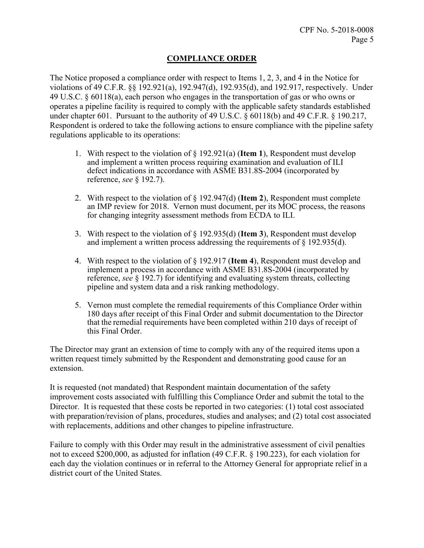# **COMPLIANCE ORDER**

The Notice proposed a compliance order with respect to Items 1, 2, 3, and 4 in the Notice for violations of 49 C.F.R. §§ 192.921(a), 192.947(d), 192.935(d), and 192.917, respectively. Under 49 U.S.C. § 60118(a), each person who engages in the transportation of gas or who owns or operates a pipeline facility is required to comply with the applicable safety standards established under chapter 601. Pursuant to the authority of 49 U.S.C. § 60118(b) and 49 C.F.R. § 190.217, Respondent is ordered to take the following actions to ensure compliance with the pipeline safety regulations applicable to its operations:

- 1. With respect to the violation of § 192.921(a) (**Item 1**), Respondent must develop and implement a written process requiring examination and evaluation of ILI defect indications in accordance with ASME B31.8S-2004 (incorporated by reference, *see* § 192.7).
- 2. With respect to the violation of § 192.947(d) (**Item 2**), Respondent must complete an IMP review for 2018. Vernon must document, per its MOC process, the reasons for changing integrity assessment methods from ECDA to ILI.
- 3. With respect to the violation of § 192.935(d) (**Item 3**), Respondent must develop and implement a written process addressing the requirements of  $\S$  192.935(d).
- 4. With respect to the violation of § 192.917 (**Item 4**), Respondent must develop and implement a process in accordance with ASME B31.8S-2004 (incorporated by reference, *see* § 192.7) for identifying and evaluating system threats, collecting pipeline and system data and a risk ranking methodology.
- this Final Order. 5. Vernon must complete the remedial requirements of this Compliance Order within 180 days after receipt of this Final Order and submit documentation to the Director that the remedial requirements have been completed within 210 days of receipt of

The Director may grant an extension of time to comply with any of the required items upon a written request timely submitted by the Respondent and demonstrating good cause for an extension.

It is requested (not mandated) that Respondent maintain documentation of the safety improvement costs associated with fulfilling this Compliance Order and submit the total to the Director. It is requested that these costs be reported in two categories: (1) total cost associated with preparation/revision of plans, procedures, studies and analyses; and (2) total cost associated with replacements, additions and other changes to pipeline infrastructure.

Failure to comply with this Order may result in the administrative assessment of civil penalties not to exceed \$200,000, as adjusted for inflation (49 C.F.R. § 190.223), for each violation for each day the violation continues or in referral to the Attorney General for appropriate relief in a district court of the United States.